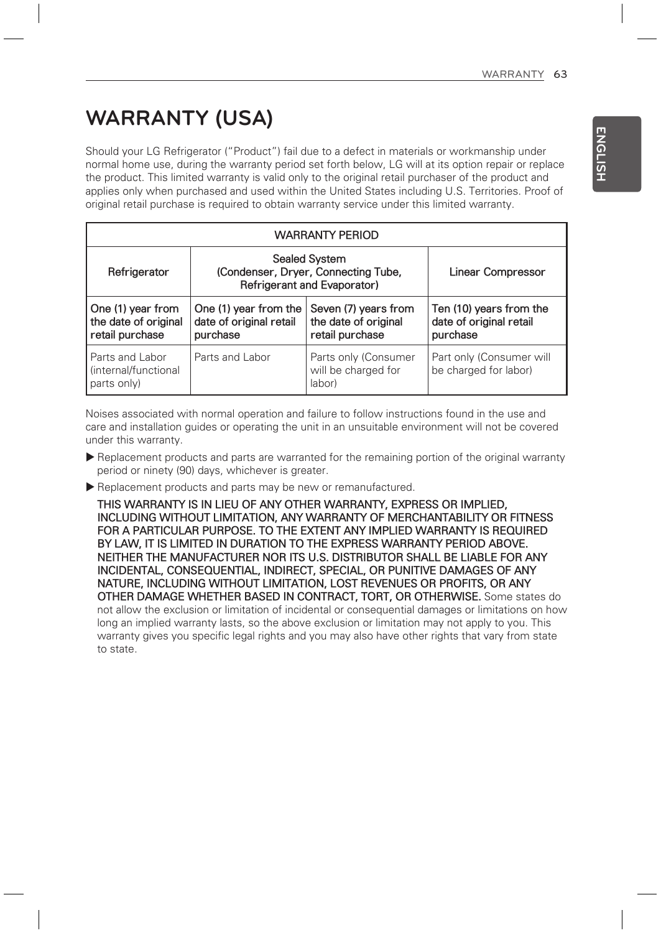# **WARRANTY (USA)**

Should your LG Refrigerator ("Product") fail due to a defect in materials or workmanship under normal home use, during the warranty period set forth below, LG will at its option repair or replace the product. This limited warranty is valid only to the original retail purchaser of the product and applies only when purchased and used within the United States including U.S. Territories. Proof of original retail purchase is required to obtain warranty service under this limited warranty.

| <b>WARRANTY PERIOD</b>                                       |                                                                                            |                                                                 |                                                                |  |  |  |
|--------------------------------------------------------------|--------------------------------------------------------------------------------------------|-----------------------------------------------------------------|----------------------------------------------------------------|--|--|--|
| Refrigerator                                                 | <b>Sealed System</b><br>(Condenser, Dryer, Connecting Tube,<br>Refrigerant and Evaporator) |                                                                 | Linear Compressor                                              |  |  |  |
| One (1) year from<br>the date of original<br>retail purchase | One (1) year from the<br>date of original retail<br>purchase                               | Seven (7) years from<br>the date of original<br>retail purchase | Ten (10) years from the<br>date of original retail<br>purchase |  |  |  |
| Parts and Labor<br>(internal/functional<br>parts only)       | Parts and Labor                                                                            | Parts only (Consumer<br>will be charged for<br>labor)           | Part only (Consumer will<br>be charged for labor)              |  |  |  |

Noises associated with normal operation and failure to follow instructions found in the use and care and installation guides or operating the unit in an unsuitable environment will not be covered under this warranty.

- Replacement products and parts are warranted for the remaining portion of the original warranty period or ninety (90) days, whichever is greater.
- Replacement products and parts may be new or remanufactured.

**THIS WARRANTY IS IN LIEU OF ANY OTHER WARRANTY, EXPRESS OR IMPLIED, INCLUDING WITHOUT LIMITATION, ANY WARRANTY OF MERCHANTABILITY OR FITNESS FOR A PARTICULAR PURPOSE. TO THE EXTENT ANY IMPLIED WARRANTY IS REQUIRED BY LAW, IT IS LIMITED IN DURATION TO THE EXPRESS WARRANTY PERIOD ABOVE. NEITHER THE MANUFACTURER NOR ITS U.S. DISTRIBUTOR SHALL BE LIABLE FOR ANY INCIDENTAL, CONSEQUENTIAL, INDIRECT, SPECIAL, OR PUNITIVE DAMAGES OF ANY NATURE, INCLUDING WITHOUT LIMITATION, LOST REVENUES OR PROFITS, OR ANY OTHER DAMAGE WHETHER BASED IN CONTRACT, TORT, OR OTHERWISE.** Some states do not allow the exclusion or limitation of incidental or consequential damages or limitations on how long an implied warranty lasts, so the above exclusion or limitation may not apply to you. This warranty gives you specific legal rights and you may also have other rights that vary from state to state.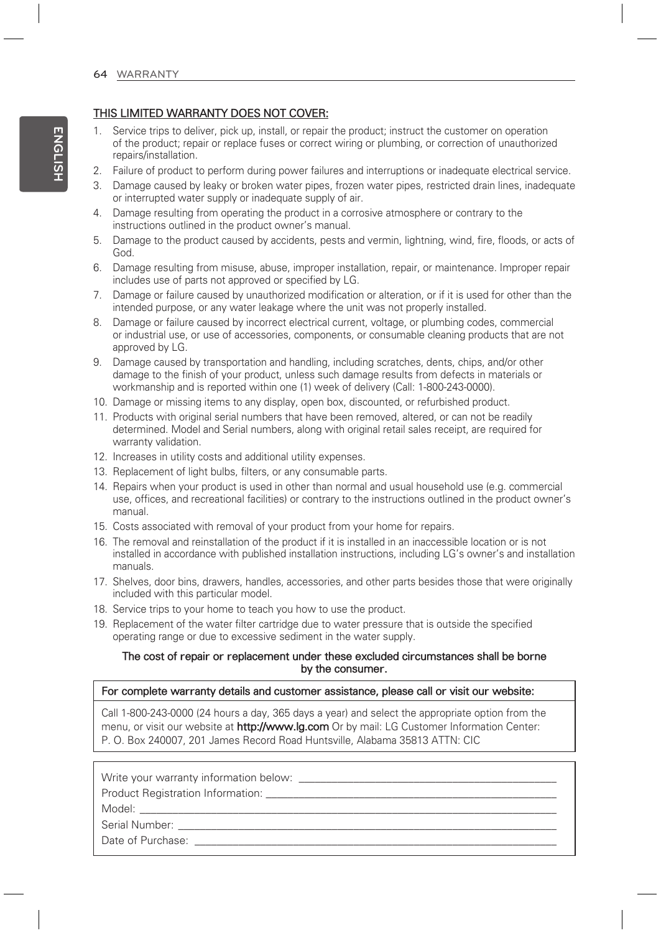## **THIS LIMITED WARRANTY DOES NOT COVER:**

- 1. Service trips to deliver, pick up, install, or repair the product; instruct the customer on operation of the product; repair or replace fuses or correct wiring or plumbing, or correction of unauthorized repairs/installation.
- 2. Failure of product to perform during power failures and interruptions or inadequate electrical service.
- 3. Damage caused by leaky or broken water pipes, frozen water pipes, restricted drain lines, inadequate or interrupted water supply or inadequate supply of air.
- 4. Damage resulting from operating the product in a corrosive atmosphere or contrary to the instructions outlined in the product owner's manual.
- 5. Damage to the product caused by accidents, pests and vermin, lightning, wind, fire, floods, or acts of God.
- 6. Damage resulting from misuse, abuse, improper installation, repair, or maintenance. Improper repair includes use of parts not approved or specified by LG.
- 7. Damage or failure caused by unauthorized modification or alteration, or if it is used for other than the intended purpose, or any water leakage where the unit was not properly installed.
- 8. Damage or failure caused by incorrect electrical current, voltage, or plumbing codes, commercial or industrial use, or use of accessories, components, or consumable cleaning products that are not approved by LG.
- 9. Damage caused by transportation and handling, including scratches, dents, chips, and/or other damage to the finish of your product, unless such damage results from defects in materials or workmanship and is reported within one (1) week of delivery (Call: 1-800-243-0000).
- 10. Damage or missing items to any display, open box, discounted, or refurbished product.
- 11. Products with original serial numbers that have been removed, altered, or can not be readily determined. Model and Serial numbers, along with original retail sales receipt, are required for warranty validation.
- 12. Increases in utility costs and additional utility expenses.
- 13. Replacement of light bulbs, filters, or any consumable parts.
- 14. Repairs when your product is used in other than normal and usual household use (e.g. commercial use, offices, and recreational facilities) or contrary to the instructions outlined in the product owner's manual.
- 15. Costs associated with removal of your product from your home for repairs.
- 16. The removal and reinstallation of the product if it is installed in an inaccessible location or is not installed in accordance with published installation instructions, including LG's owner's and installation manuals.
- 17. Shelves, door bins, drawers, handles, accessories, and other parts besides those that were originally included with this particular model.
- 18. Service trips to your home to teach you how to use the product.
- 19. Replacement of the water filter cartridge due to water pressure that is outside the specified operating range or due to excessive sediment in the water supply.

### **The cost of repair or replacement under these excluded circumstances shall be borne by the consumer.**

### **For complete warranty details and customer assistance, please call or visit our website:**

Call 1-800-243-0000 (24 hours a day, 365 days a year) and select the appropriate option from the menu, or visit our website at **http://www.lg.com** Or by mail: LG Customer Information Center: P. O. Box 240007, 201 James Record Road Huntsville, Alabama 35813 ATTN: CIC

| Write your warranty information below:                                                                                                                                                                                         |  |  |  |  |
|--------------------------------------------------------------------------------------------------------------------------------------------------------------------------------------------------------------------------------|--|--|--|--|
| Product Registration Information: Network and the control of the control of the control of the control of the control of the control of the control of the control of the control of the control of the control of the control |  |  |  |  |
|                                                                                                                                                                                                                                |  |  |  |  |
| Serial Number: And Allen Contract Contract Contract Contract Contract Contract Contract Contract Contract Contract Contract Contract Contract Contract Contract Contract Contract Contract Contract Contract Contract Contract |  |  |  |  |
| Date of Purchase: <u>_____________________</u>                                                                                                                                                                                 |  |  |  |  |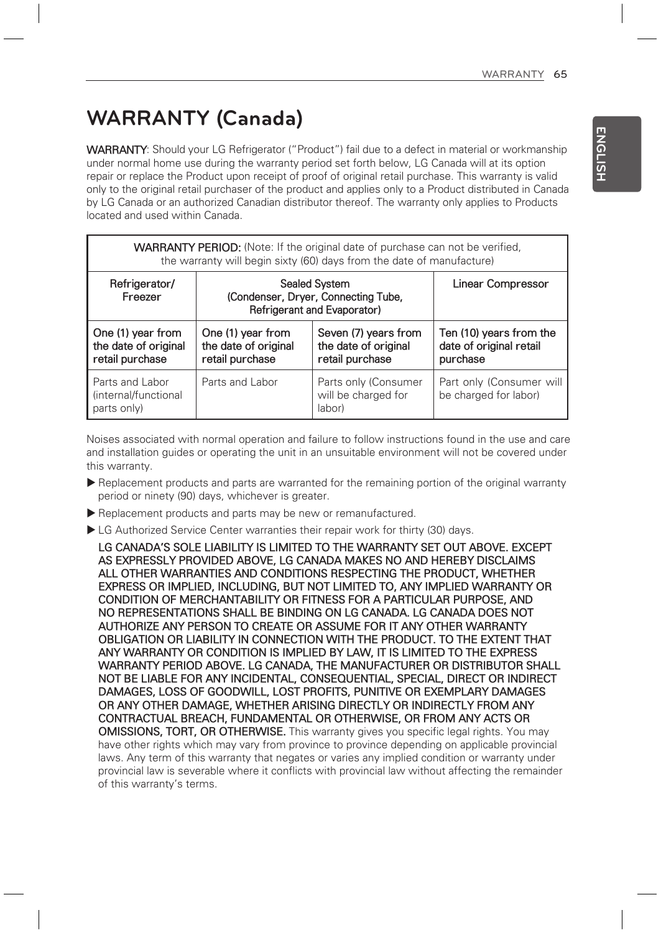## **WARRANTY (Canada)**

WARRANTY: Should your LG Refrigerator ("Product") fail due to a defect in material or workmanship under normal home use during the warranty period set forth below, LG Canada will at its option repair or replace the Product upon receipt of proof of original retail purchase. This warranty is valid only to the original retail purchaser of the product and applies only to a Product distributed in Canada by LG Canada or an authorized Canadian distributor thereof. The warranty only applies to Products located and used within Canada.

| <b>WARRANTY PERIOD:</b> (Note: If the original date of purchase can not be verified,<br>the warranty will begin sixty (60) days from the date of manufacture) |                                                                                            |                                                                 |                                                                |  |  |
|---------------------------------------------------------------------------------------------------------------------------------------------------------------|--------------------------------------------------------------------------------------------|-----------------------------------------------------------------|----------------------------------------------------------------|--|--|
| Refrigerator/<br>Freezer                                                                                                                                      | <b>Sealed System</b><br>(Condenser, Dryer, Connecting Tube,<br>Refrigerant and Evaporator) |                                                                 | Linear Compressor                                              |  |  |
| One (1) year from<br>the date of original<br>retail purchase                                                                                                  | One (1) year from<br>the date of original<br>retail purchase                               | Seven (7) years from<br>the date of original<br>retail purchase | Ten (10) years from the<br>date of original retail<br>purchase |  |  |
| Parts and Labor<br>(internal/functional<br>parts only)                                                                                                        | Parts and Labor                                                                            | Parts only (Consumer<br>will be charged for<br>labor)           | Part only (Consumer will<br>be charged for labor)              |  |  |

Noises associated with normal operation and failure to follow instructions found in the use and care and installation guides or operating the unit in an unsuitable environment will not be covered under this warranty.

- Replacement products and parts are warranted for the remaining portion of the original warranty period or ninety (90) days, whichever is greater.
- Replacement products and parts may be new or remanufactured.
- ▶ LG Authorized Service Center warranties their repair work for thirty (30) days.

**LG CANADA'S SOLE LIABILITY IS LIMITED TO THE WARRANTY SET OUT ABOVE. EXCEPT AS EXPRESSLY PROVIDED ABOVE, LG CANADA MAKES NO AND HEREBY DISCLAIMS ALL OTHER WARRANTIES AND CONDITIONS RESPECTING THE PRODUCT, WHETHER EXPRESS OR IMPLIED, INCLUDING, BUT NOT LIMITED TO, ANY IMPLIED WARRANTY OR CONDITION OF MERCHANTABILITY OR FITNESS FOR A PARTICULAR PURPOSE, AND NO REPRESENTATIONS SHALL BE BINDING ON LG CANADA. LG CANADA DOES NOT AUTHORIZE ANY PERSON TO CREATE OR ASSUME FOR IT ANY OTHER WARRANTY OBLIGATION OR LIABILITY IN CONNECTION WITH THE PRODUCT. TO THE EXTENT THAT ANY WARRANTY OR CONDITION IS IMPLIED BY LAW, IT IS LIMITED TO THE EXPRESS WARRANTY PERIOD ABOVE. LG CANADA, THE MANUFACTURER OR DISTRIBUTOR SHALL NOT BE LIABLE FOR ANY INCIDENTAL, CONSEQUENTIAL, SPECIAL, DIRECT OR INDIRECT DAMAGES, LOSS OF GOODWILL, LOST PROFITS, PUNITIVE OR EXEMPLARY DAMAGES OR ANY OTHER DAMAGE, WHETHER ARISING DIRECTLY OR INDIRECTLY FROM ANY CONTRACTUAL BREACH, FUNDAMENTAL OR OTHERWISE, OR FROM ANY ACTS OR OMISSIONS, TORT, OR OTHERWISE.** This warranty gives you specific legal rights. You may have other rights which may vary from province to province depending on applicable provincial laws. Any term of this warranty that negates or varies any implied condition or warranty under provincial law is severable where it conflicts with provincial law without affecting the remainder of this warranty's terms.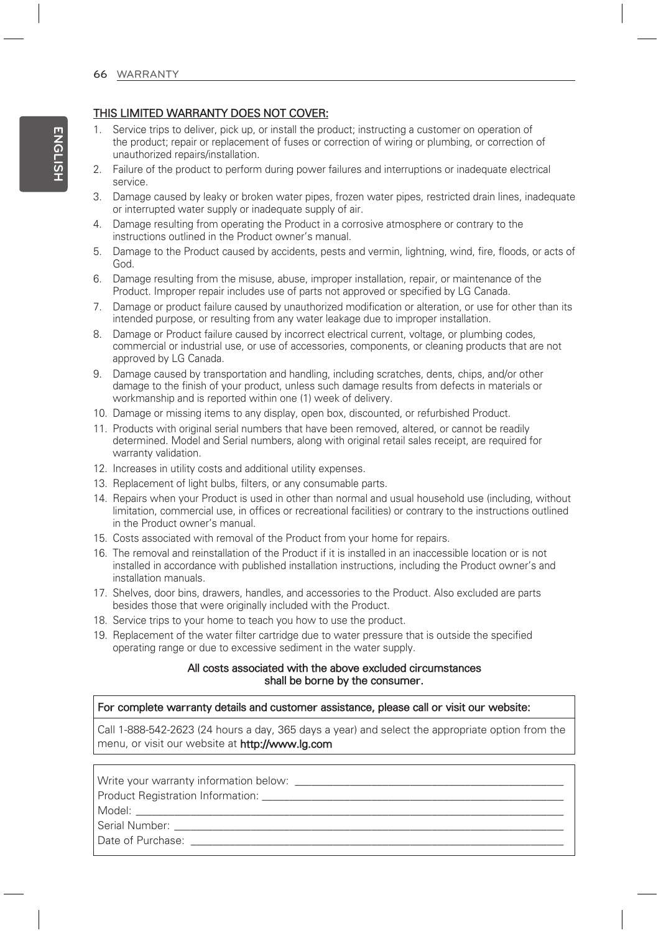## **THIS LIMITED WARRANTY DOES NOT COVER:**

- 1. Service trips to deliver, pick up, or install the product; instructing a customer on operation of the product; repair or replacement of fuses or correction of wiring or plumbing, or correction of unauthorized repairs/installation.
- 2. Failure of the product to perform during power failures and interruptions or inadequate electrical service.
- 3. Damage caused by leaky or broken water pipes, frozen water pipes, restricted drain lines, inadequate or interrupted water supply or inadequate supply of air.
- 4. Damage resulting from operating the Product in a corrosive atmosphere or contrary to the instructions outlined in the Product owner's manual.
- 5. Damage to the Product caused by accidents, pests and vermin, lightning, wind, fire, floods, or acts of God.
- 6. Damage resulting from the misuse, abuse, improper installation, repair, or maintenance of the Product. Improper repair includes use of parts not approved or specified by LG Canada.
- 7. Damage or product failure caused by unauthorized modification or alteration, or use for other than its intended purpose, or resulting from any water leakage due to improper installation.
- 8. Damage or Product failure caused by incorrect electrical current, voltage, or plumbing codes, commercial or industrial use, or use of accessories, components, or cleaning products that are not approved by LG Canada.
- 9. Damage caused by transportation and handling, including scratches, dents, chips, and/or other damage to the finish of your product, unless such damage results from defects in materials or workmanship and is reported within one (1) week of delivery.
- 10. Damage or missing items to any display, open box, discounted, or refurbished Product.
- 11. Products with original serial numbers that have been removed, altered, or cannot be readily determined. Model and Serial numbers, along with original retail sales receipt, are required for warranty validation.
- 12. Increases in utility costs and additional utility expenses.
- 13. Replacement of light bulbs, filters, or any consumable parts.
- 14. Repairs when your Product is used in other than normal and usual household use (including, without limitation, commercial use, in offices or recreational facilities) or contrary to the instructions outlined in the Product owner's manual.
- 15. Costs associated with removal of the Product from your home for repairs.
- 16. The removal and reinstallation of the Product if it is installed in an inaccessible location or is not installed in accordance with published installation instructions, including the Product owner's and installation manuals.
- 17. Shelves, door bins, drawers, handles, and accessories to the Product. Also excluded are parts besides those that were originally included with the Product.
- 18. Service trips to your home to teach you how to use the product.
- 19. Replacement of the water filter cartridge due to water pressure that is outside the specified operating range or due to excessive sediment in the water supply.

### **All costs associated with the above excluded circumstances shall be borne by the consumer.**

#### **For complete warranty details and customer assistance, please call or visit our website:**

Call 1-888-542-2623 (24 hours a day, 365 days a year) and select the appropriate option from the menu, or visit our website at **http://www.lg.com**

Write your warranty information below: \_\_\_\_\_\_\_\_\_\_\_\_\_\_\_\_\_\_\_\_\_\_\_\_\_\_\_\_\_\_\_\_\_\_\_\_\_\_\_\_\_\_\_\_\_\_\_\_\_

Product Registration Information: \_\_\_\_\_\_\_\_\_\_\_\_\_\_\_\_\_\_\_\_\_\_\_\_\_\_\_\_\_\_\_\_\_\_\_\_\_\_\_\_\_\_\_\_\_\_\_\_\_\_\_\_\_\_\_

Model: \_\_\_\_\_\_\_\_\_\_\_\_\_\_\_\_\_\_\_\_\_\_\_\_\_\_\_\_\_\_\_\_\_\_\_\_\_\_\_\_\_\_\_\_\_\_\_\_\_\_\_\_\_\_\_\_\_\_\_\_\_\_\_\_\_\_\_\_\_\_\_\_\_\_\_\_\_\_

Serial Number:

Date of Purchase: